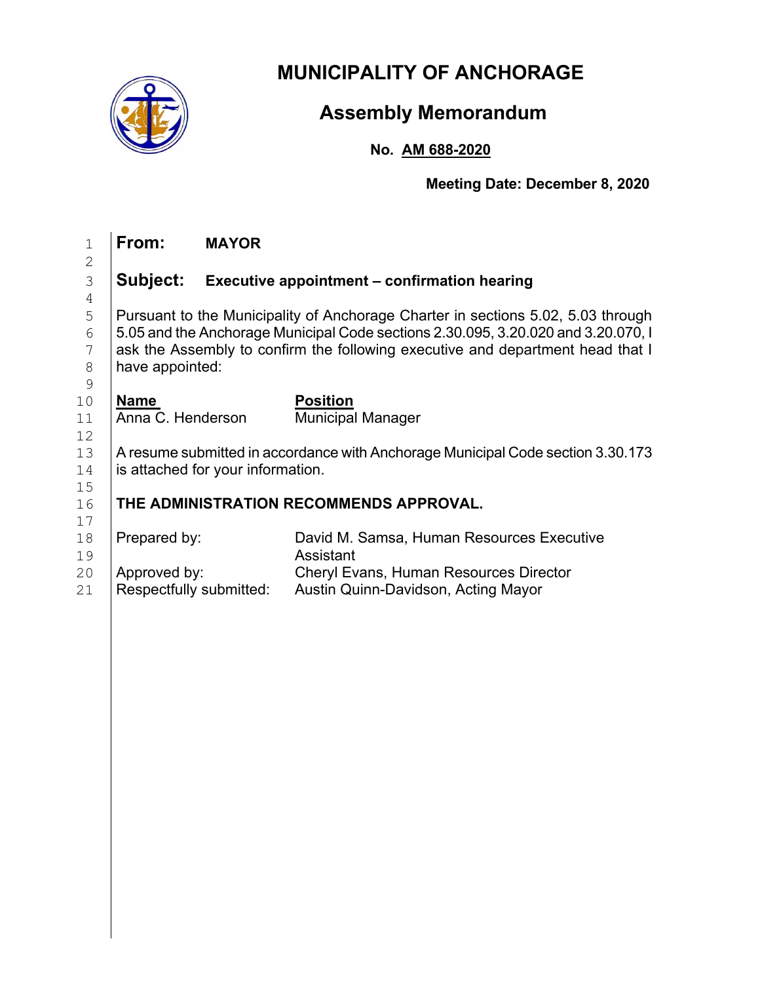

## **MUNICIPALITY OF ANCHORAGE**

# **Assembly Memorandum**

## **No. AM 688-2020**

**Meeting Date: December 8, 2020**

| $\mathbf 1$                            | From:                                                                                                                                                                                                                                                                      | <b>MAYOR</b>            |                                                                                                                                                |
|----------------------------------------|----------------------------------------------------------------------------------------------------------------------------------------------------------------------------------------------------------------------------------------------------------------------------|-------------------------|------------------------------------------------------------------------------------------------------------------------------------------------|
| $\mathbf{2}$<br>3                      | Subject:                                                                                                                                                                                                                                                                   |                         | Executive appointment - confirmation hearing                                                                                                   |
| $\overline{4}$<br>5<br>6<br>7<br>$8\,$ | Pursuant to the Municipality of Anchorage Charter in sections 5.02, 5.03 through<br>5.05 and the Anchorage Municipal Code sections 2.30.095, 3.20.020 and 3.20.070, I<br>ask the Assembly to confirm the following executive and department head that I<br>have appointed: |                         |                                                                                                                                                |
| $\mathcal{G}$<br>10<br>11<br>12        | <b>Name</b><br>Anna C. Henderson                                                                                                                                                                                                                                           |                         | <b>Position</b><br><b>Municipal Manager</b>                                                                                                    |
| 13<br>14                               | A resume submitted in accordance with Anchorage Municipal Code section 3.30.173<br>is attached for your information.                                                                                                                                                       |                         |                                                                                                                                                |
| 15<br>16<br>17                         | THE ADMINISTRATION RECOMMENDS APPROVAL.                                                                                                                                                                                                                                    |                         |                                                                                                                                                |
| 18<br>19<br>20<br>21                   | Prepared by:<br>Approved by:                                                                                                                                                                                                                                               | Respectfully submitted: | David M. Samsa, Human Resources Executive<br>Assistant<br><b>Cheryl Evans, Human Resources Director</b><br>Austin Quinn-Davidson, Acting Mayor |
|                                        |                                                                                                                                                                                                                                                                            |                         |                                                                                                                                                |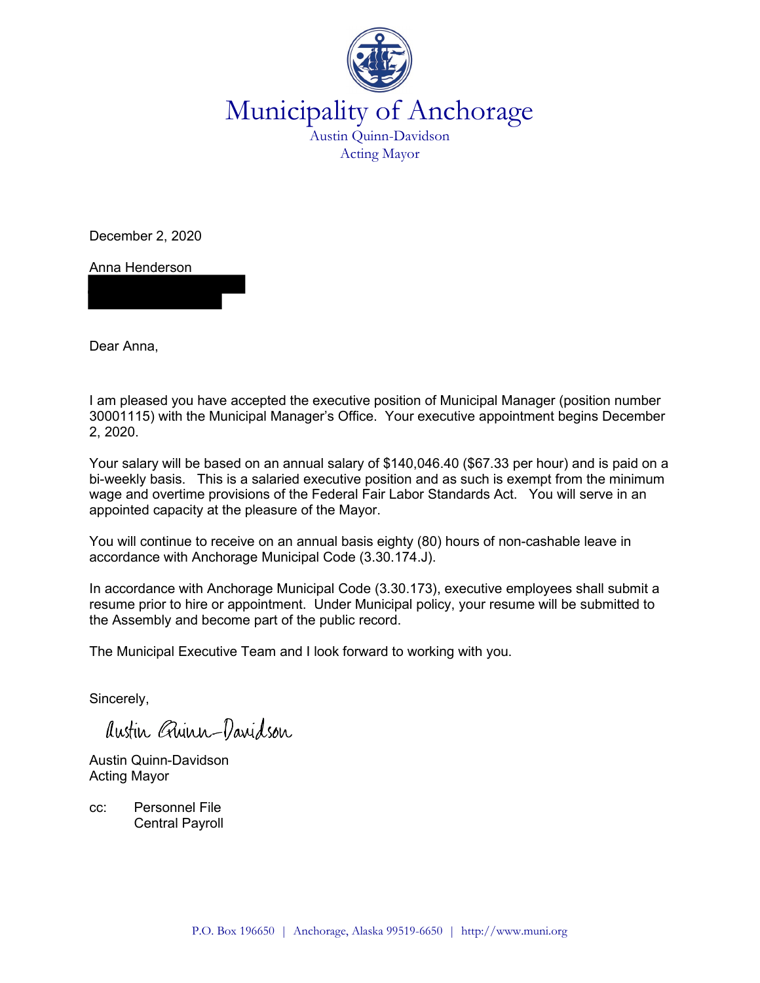

Municipality of Anchorage Austin Quinn-Davidson

Acting Mayor

December 2, 2020

Anna Henderson

Dear Anna,

I am pleased you have accepted the executive position of Municipal Manager (position number 30001115) with the Municipal Manager's Office. Your executive appointment begins December 2, 2020.

Your salary will be based on an annual salary of \$140,046.40 (\$67.33 per hour) and is paid on a bi-weekly basis. This is a salaried executive position and as such is exempt from the minimum wage and overtime provisions of the Federal Fair Labor Standards Act. You will serve in an appointed capacity at the pleasure of the Mayor.

You will continue to receive on an annual basis eighty (80) hours of non-cashable leave in accordance with Anchorage Municipal Code (3.30.174.J).

In accordance with Anchorage Municipal Code (3.30.173), executive employees shall submit a resume prior to hire or appointment. Under Municipal policy, your resume will be submitted to the Assembly and become part of the public record.

The Municipal Executive Team and I look forward to working with you.

Sincerely,

Austin Quinn-Davidson

Austin Quinn-Davidson Acting Mayor

cc: Personnel File Central Payroll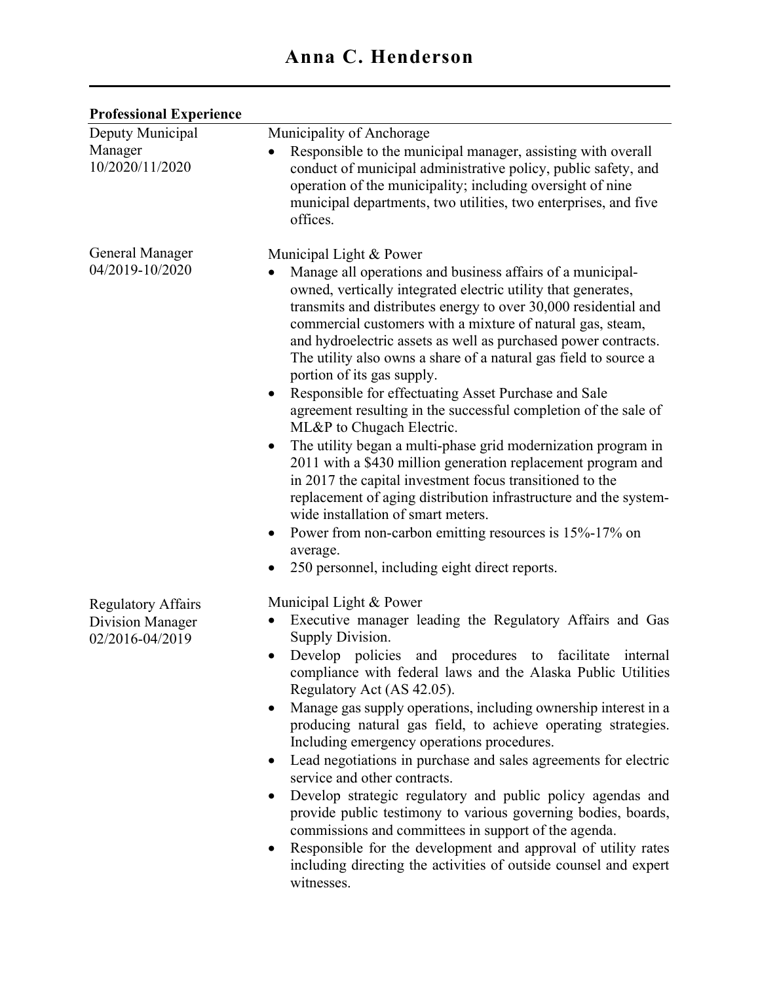### Professional Experience

| Deputy Municipal<br>Manager<br>10/2020/11/2020                   | Municipality of Anchorage<br>Responsible to the municipal manager, assisting with overall<br>conduct of municipal administrative policy, public safety, and<br>operation of the municipality; including oversight of nine<br>municipal departments, two utilities, two enterprises, and five<br>offices.                                                                                                                                                                                                                                                                                                                                                                                                                                                                                                                                                                                                                                                                                                                                                                     |
|------------------------------------------------------------------|------------------------------------------------------------------------------------------------------------------------------------------------------------------------------------------------------------------------------------------------------------------------------------------------------------------------------------------------------------------------------------------------------------------------------------------------------------------------------------------------------------------------------------------------------------------------------------------------------------------------------------------------------------------------------------------------------------------------------------------------------------------------------------------------------------------------------------------------------------------------------------------------------------------------------------------------------------------------------------------------------------------------------------------------------------------------------|
| <b>General Manager</b><br>04/2019-10/2020                        | Municipal Light & Power<br>Manage all operations and business affairs of a municipal-<br>owned, vertically integrated electric utility that generates,<br>transmits and distributes energy to over 30,000 residential and<br>commercial customers with a mixture of natural gas, steam,<br>and hydroelectric assets as well as purchased power contracts.<br>The utility also owns a share of a natural gas field to source a<br>portion of its gas supply.<br>Responsible for effectuating Asset Purchase and Sale<br>agreement resulting in the successful completion of the sale of<br>ML&P to Chugach Electric.<br>The utility began a multi-phase grid modernization program in<br>$\bullet$<br>2011 with a \$430 million generation replacement program and<br>in 2017 the capital investment focus transitioned to the<br>replacement of aging distribution infrastructure and the system-<br>wide installation of smart meters.<br>Power from non-carbon emitting resources is 15%-17% on<br>$\bullet$<br>average.<br>250 personnel, including eight direct reports. |
| <b>Regulatory Affairs</b><br>Division Manager<br>02/2016-04/2019 | Municipal Light & Power<br>Executive manager leading the Regulatory Affairs and Gas<br>Supply Division.<br>Develop policies and procedures to facilitate internal<br>compliance with federal laws and the Alaska Public Utilities<br>Regulatory Act (AS 42.05).<br>Manage gas supply operations, including ownership interest in a<br>producing natural gas field, to achieve operating strategies.<br>Including emergency operations procedures.<br>Lead negotiations in purchase and sales agreements for electric<br>$\bullet$<br>service and other contracts.<br>Develop strategic regulatory and public policy agendas and<br>$\bullet$<br>provide public testimony to various governing bodies, boards,<br>commissions and committees in support of the agenda.<br>Responsible for the development and approval of utility rates<br>including directing the activities of outside counsel and expert<br>witnesses.                                                                                                                                                     |